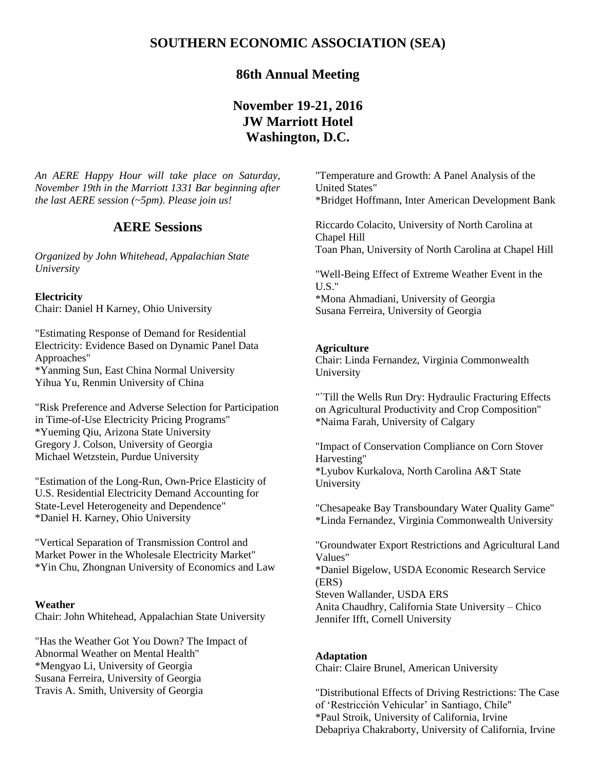# **SOUTHERN ECONOMIC ASSOCIATION (SEA)**

# **86th Annual Meeting**

# **November 19-21, 2016 JW Marriott Hotel Washington, D.C.**

*An AERE Happy Hour will take place on Saturday, November 19th in the Marriott 1331 Bar beginning after the last AERE session (~5pm). Please join us!*

## **AERE Sessions**

*Organized by John Whitehead, Appalachian State University* 

## **Electricity**

Chair: Daniel H Karney, Ohio University

"Estimating Response of Demand for Residential Electricity: Evidence Based on Dynamic Panel Data Approaches" \*Yanming Sun, East China Normal University

Yihua Yu, Renmin University of China

"Risk Preference and Adverse Selection for Participation in Time-of-Use Electricity Pricing Programs" \*Yueming Qiu, Arizona State University Gregory J. Colson, University of Georgia Michael Wetzstein, Purdue University

"Estimation of the Long-Run, Own-Price Elasticity of U.S. Residential Electricity Demand Accounting for State-Level Heterogeneity and Dependence" \*Daniel H. Karney, Ohio University

"Vertical Separation of Transmission Control and Market Power in the Wholesale Electricity Market" \*Yin Chu, Zhongnan University of Economics and Law

#### **Weather**

Chair: John Whitehead, Appalachian State University

"Has the Weather Got You Down? The Impact of Abnormal Weather on Mental Health" \*Mengyao Li, University of Georgia Susana Ferreira, University of Georgia Travis A. Smith, University of Georgia

"Temperature and Growth: A Panel Analysis of the United States" \*Bridget Hoffmann, Inter American Development Bank

Riccardo Colacito, University of North Carolina at Chapel Hill Toan Phan, University of North Carolina at Chapel Hill

"Well-Being Effect of Extreme Weather Event in the U.S." \*Mona Ahmadiani, University of Georgia Susana Ferreira, University of Georgia

## **Agriculture**

Chair: Linda Fernandez, Virginia Commonwealth University

"`Till the Wells Run Dry: Hydraulic Fracturing Effects on Agricultural Productivity and Crop Composition" \*Naima Farah, University of Calgary

"Impact of Conservation Compliance on Corn Stover Harvesting" \*Lyubov Kurkalova, North Carolina A&T State University

"Chesapeake Bay Transboundary Water Quality Game" \*Linda Fernandez, Virginia Commonwealth University

"Groundwater Export Restrictions and Agricultural Land Values" \*Daniel Bigelow, USDA Economic Research Service (ERS) Steven Wallander, USDA ERS Anita Chaudhry, California State University – Chico Jennifer Ifft, Cornell University

#### **Adaptation**

Chair: Claire Brunel, American University

"Distributional Effects of Driving Restrictions: The Case of 'Restricción Vehicular' in Santiago, Chile" \*Paul Stroik, University of California, Irvine Debapriya Chakraborty, University of California, Irvine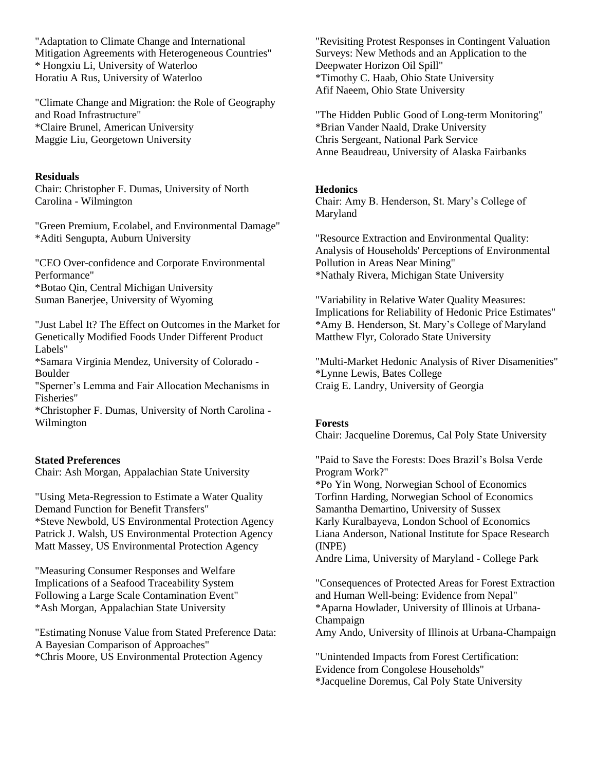"Adaptation to Climate Change and International Mitigation Agreements with Heterogeneous Countries" \* Hongxiu Li, University of Waterloo Horatiu A Rus, University of Waterloo

"Climate Change and Migration: the Role of Geography and Road Infrastructure" \*Claire Brunel, American University Maggie Liu, Georgetown University

## **Residuals**

Chair: Christopher F. Dumas, University of North Carolina - Wilmington

"Green Premium, Ecolabel, and Environmental Damage" \*Aditi Sengupta, Auburn University

"CEO Over-confidence and Corporate Environmental Performance" \*Botao Qin, Central Michigan University Suman Banerjee, University of Wyoming

"Just Label It? The Effect on Outcomes in the Market for Genetically Modified Foods Under Different Product Labels"

\*Samara Virginia Mendez, University of Colorado - Boulder

"Sperner's Lemma and Fair Allocation Mechanisms in Fisheries"

\*Christopher F. Dumas, University of North Carolina - Wilmington

#### **Stated Preferences**

Chair: Ash Morgan, Appalachian State University

"Using Meta-Regression to Estimate a Water Quality Demand Function for Benefit Transfers" \*Steve Newbold, US Environmental Protection Agency Patrick J. Walsh, US Environmental Protection Agency Matt Massey, US Environmental Protection Agency

"Measuring Consumer Responses and Welfare Implications of a Seafood Traceability System Following a Large Scale Contamination Event" \*Ash Morgan, Appalachian State University

"Estimating Nonuse Value from Stated Preference Data: A Bayesian Comparison of Approaches" \*Chris Moore, US Environmental Protection Agency

"Revisiting Protest Responses in Contingent Valuation Surveys: New Methods and an Application to the Deepwater Horizon Oil Spill" \*Timothy C. Haab, Ohio State University Afif Naeem, Ohio State University

"The Hidden Public Good of Long-term Monitoring" \*Brian Vander Naald, Drake University Chris Sergeant, National Park Service Anne Beaudreau, University of Alaska Fairbanks

#### **Hedonics**

Chair: Amy B. Henderson, St. Mary's College of Maryland

"Resource Extraction and Environmental Quality: Analysis of Households' Perceptions of Environmental Pollution in Areas Near Mining" \*Nathaly Rivera, Michigan State University

"Variability in Relative Water Quality Measures: Implications for Reliability of Hedonic Price Estimates" \*Amy B. Henderson, St. Mary's College of Maryland Matthew Flyr, Colorado State University

"Multi-Market Hedonic Analysis of River Disamenities" \*Lynne Lewis, Bates College Craig E. Landry, University of Georgia

## **Forests**

Chair: Jacqueline Doremus, Cal Poly State University

"Paid to Save the Forests: Does Brazil's Bolsa Verde Program Work?"

\*Po Yin Wong, Norwegian School of Economics Torfinn Harding, Norwegian School of Economics Samantha Demartino, University of Sussex Karly Kuralbayeva, London School of Economics Liana Anderson, National Institute for Space Research (INPE)

Andre Lima, University of Maryland - College Park

"Consequences of Protected Areas for Forest Extraction and Human Well-being: Evidence from Nepal" \*Aparna Howlader, University of Illinois at Urbana-Champaign Amy Ando, University of Illinois at Urbana-Champaign

"Unintended Impacts from Forest Certification: Evidence from Congolese Households" \*Jacqueline Doremus, Cal Poly State University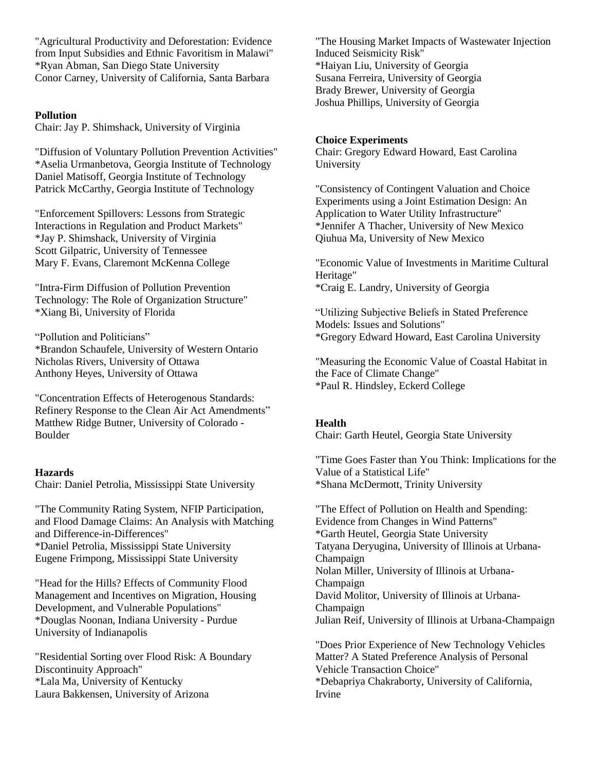"Agricultural Productivity and Deforestation: Evidence from Input Subsidies and Ethnic Favoritism in Malawi" \*Ryan Abman, San Diego State University Conor Carney, University of California, Santa Barbara

## **Pollution**

Chair: Jay P. Shimshack, University of Virginia

"Diffusion of Voluntary Pollution Prevention Activities" \*Aselia Urmanbetova, Georgia Institute of Technology Daniel Matisoff, Georgia Institute of Technology Patrick McCarthy, Georgia Institute of Technology

"Enforcement Spillovers: Lessons from Strategic Interactions in Regulation and Product Markets" \*Jay P. Shimshack, University of Virginia Scott Gilpatric, University of Tennessee Mary F. Evans, Claremont McKenna College

"Intra-Firm Diffusion of Pollution Prevention Technology: The Role of Organization Structure" \*Xiang Bi, University of Florida

"Pollution and Politicians" \*Brandon Schaufele, University of Western Ontario Nicholas Rivers, University of Ottawa Anthony Heyes, University of Ottawa

"Concentration Effects of Heterogenous Standards: Refinery Response to the Clean Air Act Amendments" Matthew Ridge Butner, University of Colorado - Boulder

## **Hazards**

Chair: Daniel Petrolia, Mississippi State University

"The Community Rating System, NFIP Participation, and Flood Damage Claims: An Analysis with Matching and Difference-in-Differences" \*Daniel Petrolia, Mississippi State University Eugene Frimpong, Mississippi State University

"Head for the Hills? Effects of Community Flood Management and Incentives on Migration, Housing Development, and Vulnerable Populations" \*Douglas Noonan, Indiana University - Purdue University of Indianapolis

"Residential Sorting over Flood Risk: A Boundary Discontinuity Approach" \*Lala Ma, University of Kentucky Laura Bakkensen, University of Arizona

"The Housing Market Impacts of Wastewater Injection Induced Seismicity Risk" \*Haiyan Liu, University of Georgia Susana Ferreira, University of Georgia Brady Brewer, University of Georgia Joshua Phillips, University of Georgia

## **Choice Experiments**

Chair: Gregory Edward Howard, East Carolina University

"Consistency of Contingent Valuation and Choice Experiments using a Joint Estimation Design: An Application to Water Utility Infrastructure" \*Jennifer A Thacher, University of New Mexico Qiuhua Ma, University of New Mexico

"Economic Value of Investments in Maritime Cultural Heritage" \*Craig E. Landry, University of Georgia

"Utilizing Subjective Beliefs in Stated Preference Models: Issues and Solutions" \*Gregory Edward Howard, East Carolina University

"Measuring the Economic Value of Coastal Habitat in the Face of Climate Change" \*Paul R. Hindsley, Eckerd College

## **Health**

Chair: Garth Heutel, Georgia State University

"Time Goes Faster than You Think: Implications for the Value of a Statistical Life" \*Shana McDermott, Trinity University

"The Effect of Pollution on Health and Spending: Evidence from Changes in Wind Patterns" \*Garth Heutel, Georgia State University Tatyana Deryugina, University of Illinois at Urbana-Champaign Nolan Miller, University of Illinois at Urbana-Champaign David Molitor, University of Illinois at Urbana-Champaign Julian Reif, University of Illinois at Urbana-Champaign

"Does Prior Experience of New Technology Vehicles Matter? A Stated Preference Analysis of Personal Vehicle Transaction Choice" \*Debapriya Chakraborty, University of California, Irvine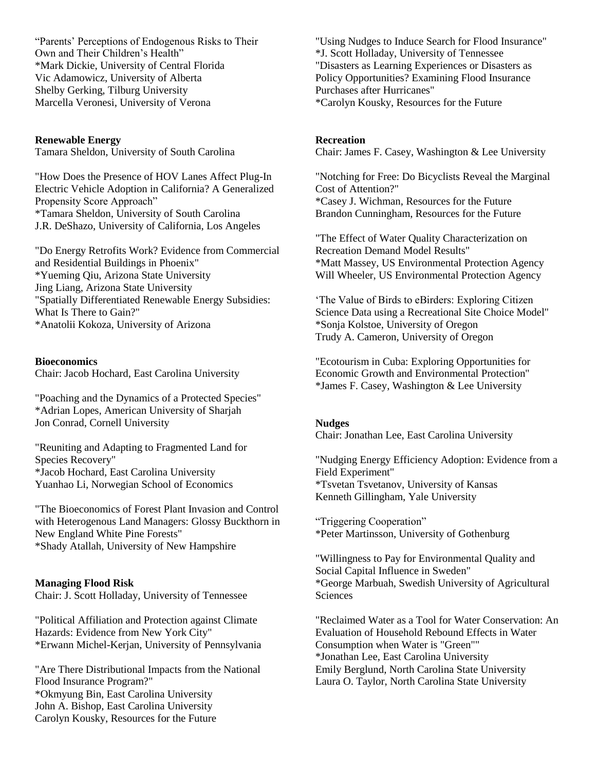"Parents' Perceptions of Endogenous Risks to Their Own and Their Children's Health" \*Mark Dickie, University of Central Florida Vic Adamowicz, University of Alberta Shelby Gerking, Tilburg University Marcella Veronesi, University of Verona

**Renewable Energy** Tamara Sheldon, University of South Carolina

"How Does the Presence of HOV Lanes Affect Plug-In Electric Vehicle Adoption in California? A Generalized Propensity Score Approach" \*Tamara Sheldon, University of South Carolina J.R. DeShazo, University of California, Los Angeles

"Do Energy Retrofits Work? Evidence from Commercial and Residential Buildings in Phoenix" \*Yueming Qiu, Arizona State University Jing Liang, Arizona State University "Spatially Differentiated Renewable Energy Subsidies: What Is There to Gain?" \*Anatolii Kokoza, University of Arizona

## **Bioeconomics**

Chair: Jacob Hochard, East Carolina University

"Poaching and the Dynamics of a Protected Species" \*Adrian Lopes, American University of Sharjah Jon Conrad, Cornell University

"Reuniting and Adapting to Fragmented Land for Species Recovery" \*Jacob Hochard, East Carolina University Yuanhao Li, Norwegian School of Economics

"The Bioeconomics of Forest Plant Invasion and Control with Heterogenous Land Managers: Glossy Buckthorn in New England White Pine Forests" \*Shady Atallah, University of New Hampshire

## **Managing Flood Risk**

Chair: J. Scott Holladay, University of Tennessee

"Political Affiliation and Protection against Climate Hazards: Evidence from New York City" \*Erwann Michel-Kerjan, University of Pennsylvania

"Are There Distributional Impacts from the National Flood Insurance Program?" \*Okmyung Bin, East Carolina University John A. Bishop, East Carolina University Carolyn Kousky, Resources for the Future

"Using Nudges to Induce Search for Flood Insurance" \*J. Scott Holladay, University of Tennessee "Disasters as Learning Experiences or Disasters as Policy Opportunities? Examining Flood Insurance Purchases after Hurricanes" \*Carolyn Kousky, Resources for the Future

#### **Recreation**

Chair: James F. Casey, Washington & Lee University

"Notching for Free: Do Bicyclists Reveal the Marginal Cost of Attention?" \*Casey J. Wichman, Resources for the Future Brandon Cunningham, Resources for the Future

"The Effect of Water Quality Characterization on Recreation Demand Model Results" \*Matt Massey, US Environmental Protection Agency Will Wheeler, US Environmental Protection Agency

'The Value of Birds to eBirders: Exploring Citizen Science Data using a Recreational Site Choice Model" \*Sonja Kolstoe, University of Oregon Trudy A. Cameron, University of Oregon

"Ecotourism in Cuba: Exploring Opportunities for Economic Growth and Environmental Protection" \*James F. Casey, Washington & Lee University

## **Nudges**

Chair: Jonathan Lee, East Carolina University

"Nudging Energy Efficiency Adoption: Evidence from a Field Experiment" \*Tsvetan Tsvetanov, University of Kansas Kenneth Gillingham, Yale University

"Triggering Cooperation" \*Peter Martinsson, University of Gothenburg

"Willingness to Pay for Environmental Quality and Social Capital Influence in Sweden" \*George Marbuah, Swedish University of Agricultural Sciences

"Reclaimed Water as a Tool for Water Conservation: An Evaluation of Household Rebound Effects in Water Consumption when Water is "Green"" \*Jonathan Lee, East Carolina University Emily Berglund, North Carolina State University Laura O. Taylor, North Carolina State University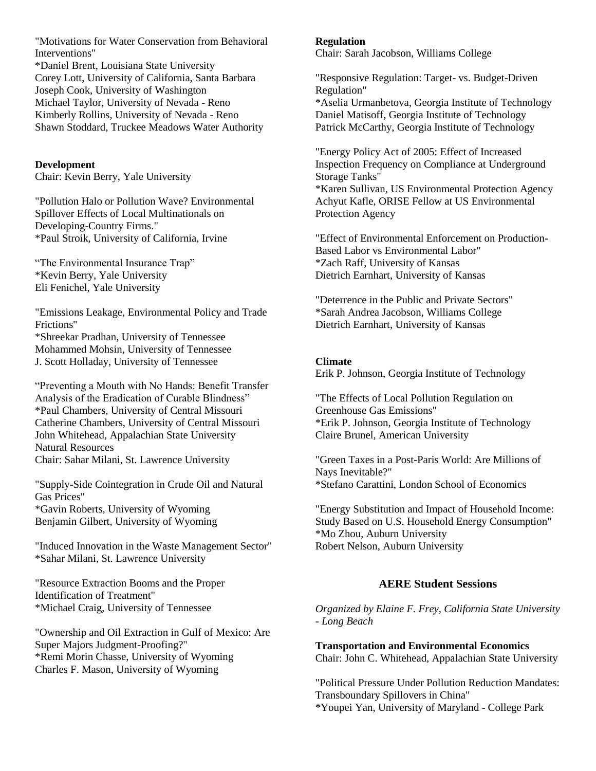"Motivations for Water Conservation from Behavioral Interventions"

\*Daniel Brent, Louisiana State University Corey Lott, University of California, Santa Barbara Joseph Cook, University of Washington Michael Taylor, University of Nevada - Reno Kimberly Rollins, University of Nevada - Reno Shawn Stoddard, Truckee Meadows Water Authority

**Development** Chair: Kevin Berry, Yale University

"Pollution Halo or Pollution Wave? Environmental Spillover Effects of Local Multinationals on Developing-Country Firms." \*Paul Stroik, University of California, Irvine

"The Environmental Insurance Trap" \*Kevin Berry, Yale University Eli Fenichel, Yale University

"Emissions Leakage, Environmental Policy and Trade Frictions"

\*Shreekar Pradhan, University of Tennessee Mohammed Mohsin, University of Tennessee J. Scott Holladay, University of Tennessee

"Preventing a Mouth with No Hands: Benefit Transfer Analysis of the Eradication of Curable Blindness" \*Paul Chambers, University of Central Missouri Catherine Chambers, University of Central Missouri John Whitehead, Appalachian State University Natural Resources

Chair: Sahar Milani, St. Lawrence University

"Supply-Side Cointegration in Crude Oil and Natural Gas Prices" \*Gavin Roberts, University of Wyoming Benjamin Gilbert, University of Wyoming

"Induced Innovation in the Waste Management Sector" \*Sahar Milani, St. Lawrence University

"Resource Extraction Booms and the Proper Identification of Treatment" \*Michael Craig, University of Tennessee

"Ownership and Oil Extraction in Gulf of Mexico: Are Super Majors Judgment-Proofing?" \*Remi Morin Chasse, University of Wyoming Charles F. Mason, University of Wyoming

## **Regulation**

Chair: Sarah Jacobson, Williams College

"Responsive Regulation: Target- vs. Budget-Driven Regulation" \*Aselia Urmanbetova, Georgia Institute of Technology Daniel Matisoff, Georgia Institute of Technology Patrick McCarthy, Georgia Institute of Technology

"Energy Policy Act of 2005: Effect of Increased Inspection Frequency on Compliance at Underground Storage Tanks" \*Karen Sullivan, US Environmental Protection Agency Achyut Kafle, ORISE Fellow at US Environmental Protection Agency

"Effect of Environmental Enforcement on Production-Based Labor vs Environmental Labor" \*Zach Raff, University of Kansas Dietrich Earnhart, University of Kansas

"Deterrence in the Public and Private Sectors" \*Sarah Andrea Jacobson, Williams College Dietrich Earnhart, University of Kansas

## **Climate**

Erik P. Johnson, Georgia Institute of Technology

"The Effects of Local Pollution Regulation on Greenhouse Gas Emissions" \*Erik P. Johnson, Georgia Institute of Technology Claire Brunel, American University

"Green Taxes in a Post-Paris World: Are Millions of Nays Inevitable?" \*Stefano Carattini, London School of Economics

"Energy Substitution and Impact of Household Income: Study Based on U.S. Household Energy Consumption" \*Mo Zhou, Auburn University Robert Nelson, Auburn University

## **AERE Student Sessions**

*Organized by Elaine F. Frey, California State University - Long Beach*

**Transportation and Environmental Economics** Chair: John C. Whitehead, Appalachian State University

"Political Pressure Under Pollution Reduction Mandates: Transboundary Spillovers in China" \*Youpei Yan, University of Maryland - College Park